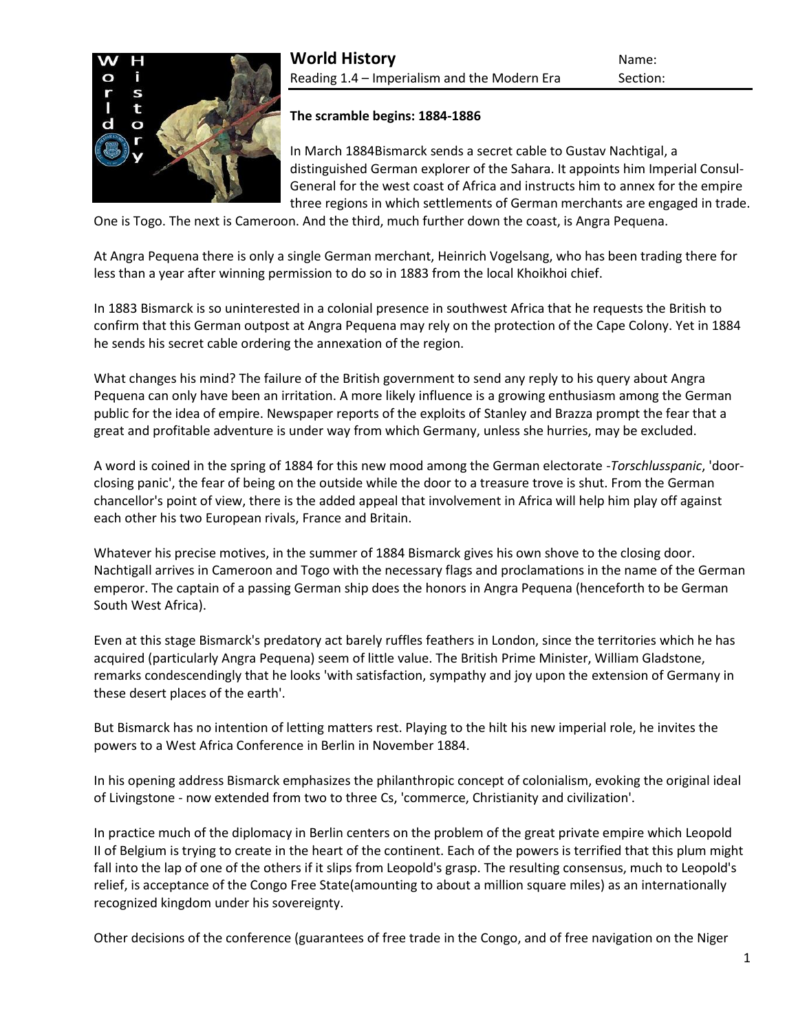

# **The scramble begins: 1884-1886**

In March 188[4Bismarck](http://www.historyworld.net/wrldhis/PlainTextHistories.asp?gtrack=pthc&ParagraphID=mll#mll) sends a secret cable to Gustav Nachtigal, a distinguished German explorer of the Sahara. It appoints him Imperial Consul-General for the west coast of Africa and instructs him to annex for the empire three regions in which settlements of German merchants are engaged in trade.

One is Togo. The next is Cameroon. And the third, much further down the coast, is Angra Pequena.

At Angra Pequena there is only a single German merchant, Heinrich Vogelsang, who has been trading there for less than a year after winning permission to do so in 1883 from the local Khoikhoi chief.

In 1883 Bismarck is so uninterested in a colonial presence in southwest Africa that he requests the British to confirm that this German outpost at Angra Pequena may rely on the protection of the Cape Colony. Yet in 1884 he sends his secret cable ordering the annexation of the region.

What changes his mind? The failure of the British government to send any reply to his query about Angra Pequena can only have been an irritation. A more likely influence is a growing enthusiasm among the German public for the idea of empire. Newspaper reports of the exploits of [Stanley and Brazza](http://www.historyworld.net/wrldhis/PlainTextHistories.asp?gtrack=pthc&ParagraphID=oqf#oqf) prompt the fear that a great and profitable adventure is under way from which Germany, unless she hurries, may be excluded.

A word is coined in the spring of 1884 for this new mood among the German electorate -*Torschlusspanic*, 'doorclosing panic', the fear of being on the outside while the door to a treasure trove is shut. From the German chancellor's point of view, there is the added appeal that involvement in Africa will help him play off against each other his two European rivals, France and Britain.

Whatever his precise motives, in the summer of 1884 Bismarck gives his own shove to the closing door. Nachtigall arrives in Cameroon and Togo with the necessary flags and proclamations in the name of the German emperor. The captain of a passing German ship does the honors in Angra Pequena (henceforth to be German South West Africa).

Even at this stage Bismarck's predatory act barely ruffles feathers in London, since the territories which he has acquired (particularly Angra Pequena) seem of little value. The British Prime Minister, William Gladstone, remarks condescendingly that he looks 'with satisfaction, sympathy and joy upon the extension of Germany in these desert places of the earth'.

But Bismarck has no intention of letting matters rest. Playing to the hilt his new imperial role, he invites the powers to a West Africa Conference in Berlin in November 1884.

In his opening address Bismarck emphasizes the philanthropic concept of colonialism, evoking the original ideal of [Livingstone](http://www.historyworld.net/wrldhis/PlainTextHistories.asp?gtrack=pthc&ParagraphID=ope#ope) - now extended from two to three Cs, 'commerce, Christianity and civilization'.

In practice much of the diplomacy in Berlin centers on the problem of the great private empire which [Leopold](http://www.historyworld.net/wrldhis/PlainTextHistories.asp?gtrack=pthc&ParagraphID=oqa#oqa)  [II](http://www.historyworld.net/wrldhis/PlainTextHistories.asp?gtrack=pthc&ParagraphID=oqa#oqa) of Belgium is trying to create in the heart of the continent. Each of the powers is terrified that this plum might fall into the lap of one of the others if it slips from Leopold's grasp. The resulting consensus, much to Leopold's relief, is acceptance of the [Congo Free State\(](http://www.historyworld.net/wrldhis/PlainTextHistories.asp?gtrack=pthc&ParagraphID=ozh#ozh)amounting to about a million square miles) as an internationally recognized kingdom under his sovereignty.

Other decisions of the conference (guarantees of free trade in the Congo, and of free navigation on the Niger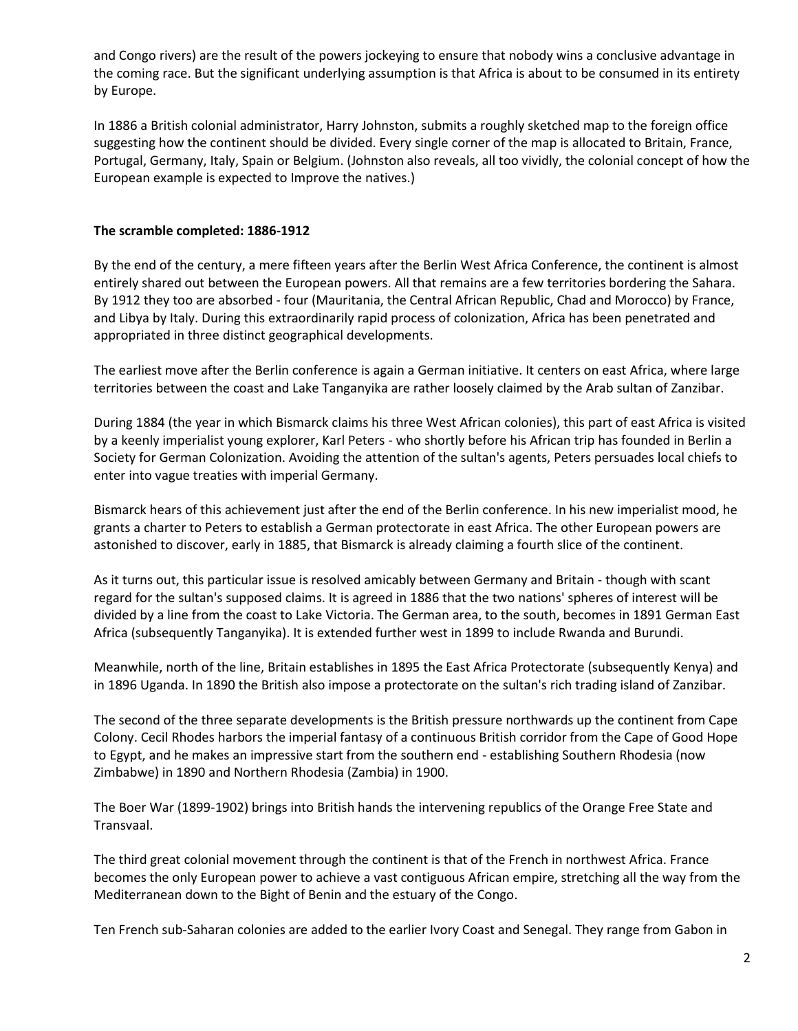and Congo rivers) are the result of the powers jockeying to ensure that nobody wins a conclusive advantage in the coming race. But the significant underlying assumption is that Africa is about to be consumed in its entirety by Europe.

In 1886 a British colonial administrator, Harry Johnston, submits a roughly sketched map to the foreign office suggesting how the continent should be divided. Every single corner of the map is allocated to Britain, France, Portugal, Germany, Italy, Spain or Belgium. (Johnston also reveals, all too vividly, the colonial concept of how the European example is expected to [Improve the natives.](http://www.historyworld.net/wrldhis/PlainTextHistories.asp?historyid=323))

## **The scramble completed: 1886-1912**

By the end of the century, a mere fifteen years after the Berlin West Africa Conference, the continent is almost entirely shared out between the European powers. All that remains are a few territories bordering the Sahara. By 1912 they too are absorbed - four (Mauritania, the Central African Republic, Chad and Morocco) by France, and [Libya](http://www.historyworld.net/wrldhis/PlainTextHistories.asp?gtrack=pthc&ParagraphID=oma#oma) by Italy. During this extraordinarily rapid process of [colonization,](http://www.historyworld.net/wrldhis/PlainTextHistories.asp?gtrack=pthc&ParagraphID=oxw#oxw) Africa has been penetrated and appropriated in three distinct geographical developments.

The earliest move after the Berlin conference is again a German initiative. It centers on east Africa, where large territories between the coast and Lake Tanganyika are rather loosely claimed by the Arab sultan of [Zanzibar.](http://www.historyworld.net/wrldhis/PlainTextHistories.asp?gtrack=pthc&ParagraphID=pge#pge)

During 1884 (the year in which Bismarck claims his three West [African colonies\)](http://www.historyworld.net/wrldhis/PlainTextHistories.asp?gtrack=pthc&ParagraphID=oqm#oqm), this part of east Africa is visited by a keenly imperialist young explorer, Karl Peters - who shortly before his African trip has founded in Berlin a Society for German Colonization. Avoiding the attention of the sultan's agents, Peters persuades local chiefs to enter into vague treaties with imperial Germany.

Bismarck hears of this achievement just after the end of the Berlin conference. In his new imperialist mood, he grants a charter to Peters to establish a German protectorate in east Africa. The other European powers are astonished to discover, early in 1885, that Bismarck is already claiming a fourth slice of the continent.

As it turns out, this particular issue is resolved amicably between Germany and Britain - though with scant regard for the sultan's supposed claims. It is agreed in 1886 that the two nations' spheres of interest will be divided by a line from the coast to Lake Victoria. The German area, to the south, becomes in 1891 German East Africa (subsequently [Tanganyika\)](http://www.historyworld.net/wrldhis/PlainTextHistories.asp?gtrack=pthc&ParagraphID=pgq#pgq). It is extended further west in 1899 to include [Rwanda and Burundi.](http://www.historyworld.net/wrldhis/PlainTextHistories.asp?gtrack=pthc&ParagraphID=pbs#pbs)

Meanwhile, north of the line, Britain establishes in 1895 the East Africa Protectorate (subsequently [Kenya\)](http://www.historyworld.net/wrldhis/PlainTextHistories.asp?gtrack=pthc&ParagraphID=phw#phw) and in 1896 Uganda. In 1890 the British also impose a protectorate on the sultan's rich trading island of Zanzibar.

The second of the three separate developments is the British pressure northwards up the continent from Cape Colony. Cecil [Rhodes](http://www.historyworld.net/wrldhis/PlainTextHistories.asp?gtrack=pthc&ParagraphID=osr#osr) harbors the imperial fantasy of a continuous British corridor from the Cape of Good Hope to Egypt, and he makes an impressive start from the southern end - establishing Southern Rhodesia (now Zimbabwe) in 1890 and Northern Rhodesia (Zambia) in 1900.

The [Boer War](http://www.historyworld.net/wrldhis/PlainTextHistories.asp?gtrack=pthc&ParagraphID=otl#otl) (1899-1902) brings into British hands the intervening republics of the Orange Free State and Transvaal.

The third great colonial movement through the continent is that of the French in northwest Africa. France becomes the only European power to achieve a vast contiguous African empire, stretching all the way from the Mediterranean down to the Bight of Benin and the estuary of the Congo.

Ten French sub-Saharan colonies are added to the earlier Ivory Coast and Senegal. They range from Gabon in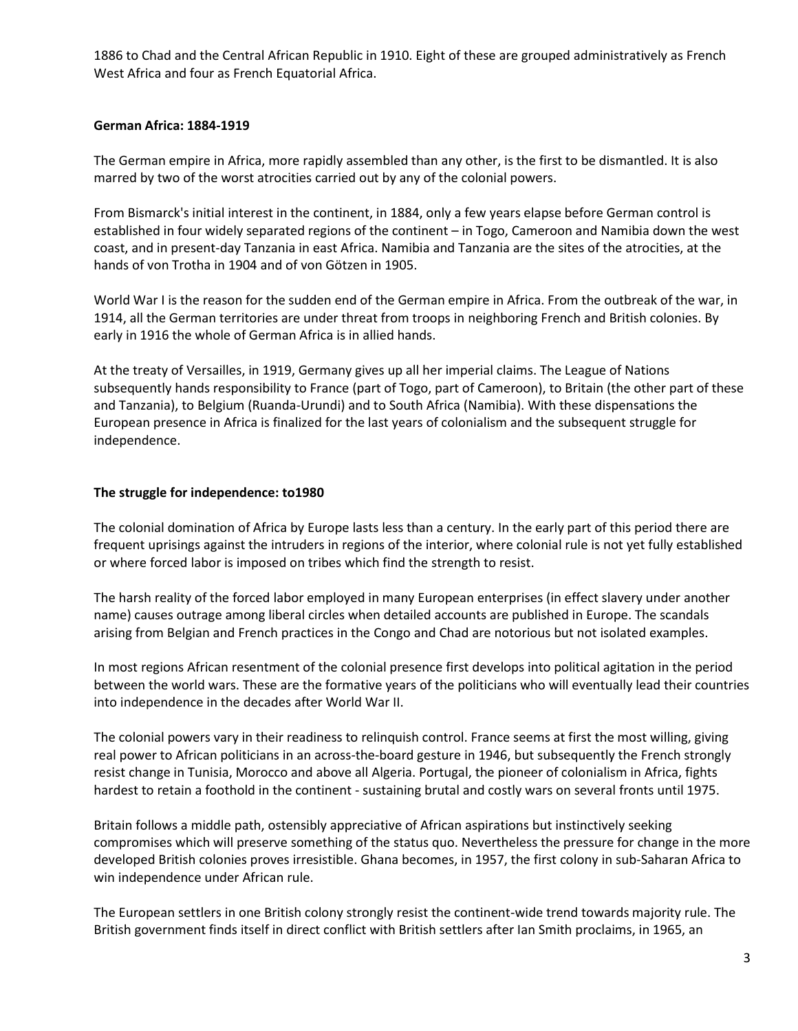1886 to Chad and the Central African Republic in 1910. Eight of these are grouped administratively as [French](http://www.historyworld.net/wrldhis/PlainTextHistories.asp?gtrack=pthc&ParagraphID=oxr#oxr)  [West Africa](http://www.historyworld.net/wrldhis/PlainTextHistories.asp?gtrack=pthc&ParagraphID=oxr#oxr) and four as [French Equatorial Africa.](http://www.historyworld.net/wrldhis/PlainTextHistories.asp?gtrack=pthc&ParagraphID=oxw#oxw)

# **German Africa: 1884-1919**

The German empire in Africa, more rapidly assembled than any other, is the first to be dismantled. It is also marred by two of the worst atrocities carried out by any of the colonial powers.

From Bismarck's initial interest in the continent, in 1884, only a few years elapse before German control is established in four widely separated regions of the continent – in [Togo,](http://www.historyworld.net/wrldhis/PlainTextHistories.asp?gtrack=pthc&ParagraphID=pbc#pbc) [Cameroon](http://www.historyworld.net/wrldhis/PlainTextHistories.asp?gtrack=pthc&ParagraphID=pas#pas) and Namibia down the west coast, and in present-day Tanzania in east Africa. Namibia and Tanzania are the sites of the atrocities, at the hands of [von Trotha](http://www.historyworld.net/wrldhis/PlainTextHistories.asp?gtrack=pthc&ParagraphID=ovh#ovh) in 1904 and of [von Götzen](http://www.historyworld.net/wrldhis/PlainTextHistories.asp?gtrack=pthc&ParagraphID=pgt#pgt) in 1905.

World War I is the reason for the sudden end of the German empire in Africa. From the outbreak of the war, in 1914, all the German territories are under threat from troops in neighboring French and British colonies. By early in 1916 the whole of German Africa is in allied hands.

At the treaty of Versailles, in 1919, Germany gives up all her imperial claims. The League of Nations subsequently hands responsibility to France (part of Togo, part of Cameroon), to Britain (the other part of these and Tanzania), to Belgium [\(Ruanda-Urundi\)](http://www.historyworld.net/wrldhis/PlainTextHistories.asp?gtrack=pthc&ParagraphID=pbt#pbt) and to South Africa [\(Namibia\)](http://www.historyworld.net/wrldhis/PlainTextHistories.asp?gtrack=pthc&ParagraphID=ovk#ovk). With these dispensations the European presence in Africa is finalized for the last years of colonialism and the subsequent struggle for independence.

# **The struggle for independence: to1980**

The colonial domination of Africa by Europe lasts less than a century. In the early part of this period there are frequent uprisings against the intruders in regions of the interior, where colonial rule is not yet fully established or where forced labor is imposed on tribes which find the strength to resist.

The harsh reality of the forced labor employed in many European enterprises (in effect slavery under another name) causes outrage among liberal circles when detailed accounts are published in Europe. The scandals arising from Belgian and French practices in the [Congo](http://www.historyworld.net/wrldhis/PlainTextHistories.asp?gtrack=pthc&ParagraphID=ozk#ozk) and [Chad](http://www.historyworld.net/wrldhis/PlainTextHistories.asp?gtrack=pthc&ParagraphID=oyj#oyj) are notorious but not isolated examples.

In most regions African resentment of the colonial presence first develops into political agitation in the period between the world wars. These are the formative years of the politicians who will eventually lead their countries into independence in the decades after World War II.

The colonial powers vary in their readiness to relinquish control. France seems at first the most willing, giving real power to African politicians in an across-the-board [gesture in 1946,](http://www.historyworld.net/wrldhis/PlainTextHistories.asp?gtrack=pthc&ParagraphID=oxx#oxx) but subsequently the French strongly resist change in Tunisia, Morocco and above all [Algeria.](http://www.historyworld.net/wrldhis/PlainTextHistories.asp?gtrack=pthc&ParagraphID=olh#olh) Portugal, the pioneer of colonialism in Africa, fights hardest to retain a foothold in the continent - sustaining brutal and costly wars on several fronts until 1975.

Britain follows a middle path, ostensibly appreciative of African aspirations but instinctively seeking compromises which will preserve something of the status quo. Nevertheless the pressure for change in the more developed British colonies proves irresistible. [Ghana](http://www.historyworld.net/wrldhis/PlainTextHistories.asp?gtrack=pthc&ParagraphID=pll#pll) becomes, in 1957, the first colony in sub-Saharan Africa to win independence under African rule.

The European settlers in one British colony strongly resist the continent-wide trend towards majority rule. The British government finds itself in direct conflict with British settlers after Ian Smith proclaims, in 1965, an